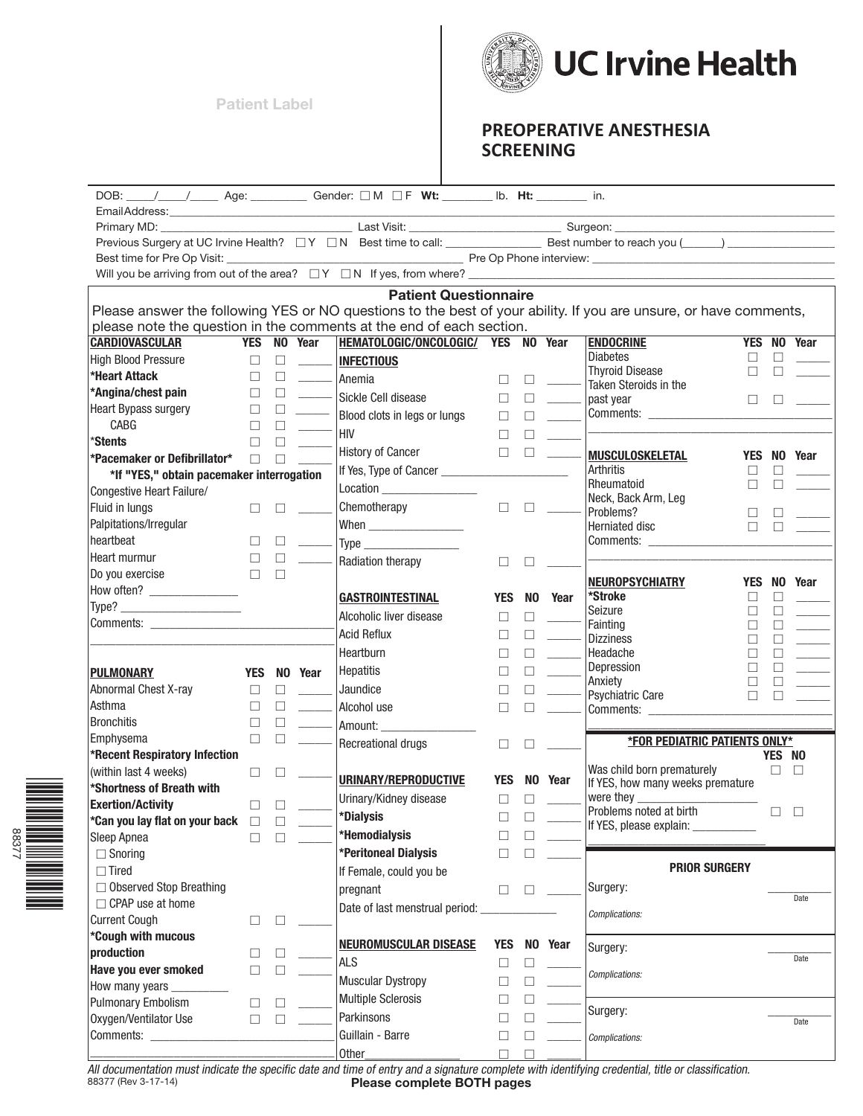**Patient Label Patient Label**



## **PREOPERATIVE ANESTHESIA SCREENING**

|                                           |            |         |                            | DOB: ____/____/______ Age: ___________ Gender: $\Box$ M $\Box$ F Wt: ________ lb. Ht: ________ in. |            |        |         |                                                                                                                   |                    |                    |
|-------------------------------------------|------------|---------|----------------------------|----------------------------------------------------------------------------------------------------|------------|--------|---------|-------------------------------------------------------------------------------------------------------------------|--------------------|--------------------|
|                                           |            |         |                            |                                                                                                    |            |        |         |                                                                                                                   |                    |                    |
|                                           |            |         |                            |                                                                                                    |            |        |         |                                                                                                                   |                    |                    |
|                                           |            |         |                            |                                                                                                    |            |        |         |                                                                                                                   |                    |                    |
|                                           |            |         |                            |                                                                                                    |            |        |         |                                                                                                                   |                    |                    |
|                                           |            |         |                            |                                                                                                    |            |        |         |                                                                                                                   |                    |                    |
|                                           |            |         |                            | <b>Patient Questionnaire</b>                                                                       |            |        |         |                                                                                                                   |                    |                    |
|                                           |            |         |                            |                                                                                                    |            |        |         | Please answer the following YES or NO questions to the best of your ability. If you are unsure, or have comments, |                    |                    |
|                                           |            |         |                            | please note the question in the comments at the end of each section.                               |            |        |         |                                                                                                                   |                    |                    |
| <b>CARDIOVASCULAR</b>                     |            |         | YES NO Year                | HEMATOLOGIC/ONCOLOGIC/ YES NO Year                                                                 |            |        |         | <b>ENDOCRINE</b>                                                                                                  |                    | <b>YES NO Year</b> |
| <b>High Blood Pressure</b>                | $\Box$     | $\Box$  |                            | <b>INFECTIOUS</b>                                                                                  |            |        |         | <b>Diabetes</b><br><b>Thyroid Disease</b>                                                                         | □<br>П<br>П        |                    |
| *Heart Attack                             | $\Box$     | $\Box$  | $\mathcal{L}^{\text{max}}$ | Anemia                                                                                             | $\Box$     |        |         | Taken Steroids in the                                                                                             |                    |                    |
| *Angina/chest pain                        | $\Box$     | $\Box$  |                            |                                                                                                    | □          | □      |         | past year                                                                                                         | $\Box$<br>$\Box$   |                    |
| Heart Bypass surgery                      | $\Box$     | $\Box$  |                            | Blood clots in legs or lungs                                                                       | □          | П      |         | Comments: ___________________                                                                                     |                    |                    |
| CABG                                      | П          | П       |                            | HIV                                                                                                | П          |        |         |                                                                                                                   |                    |                    |
| *Stents                                   | П          |         |                            | History of Cancer                                                                                  | □          | $\Box$ |         | <b>MUSCULOSKELETAL</b>                                                                                            |                    |                    |
| *Pacemaker or Defibrillator*              | П          |         |                            | If Yes, Type of Cancer _____________                                                               |            |        |         | <b>Arthritis</b>                                                                                                  | П                  | YES NO Year        |
| *If "YES," obtain pacemaker interrogation |            |         |                            | Location __________________                                                                        |            |        |         | Rheumatoid                                                                                                        | П                  |                    |
| Congestive Heart Failure/                 |            |         |                            |                                                                                                    |            |        |         | Neck, Back Arm, Leg                                                                                               |                    |                    |
| Fluid in lungs                            | $\Box$     | □       |                            | Chemotherapy                                                                                       | □          | □      |         | Problems?                                                                                                         | □                  |                    |
| Palpitations/Irregular                    |            |         |                            |                                                                                                    |            |        |         | Herniated disc                                                                                                    | П                  |                    |
| heartbeat                                 | $\Box$     |         |                            |                                                                                                    |            |        |         |                                                                                                                   |                    |                    |
| Heart murmur                              | ⊔          |         |                            | Radiation therapy                                                                                  | ⊔          |        |         |                                                                                                                   |                    |                    |
| Do you exercise                           | $\Box$     |         |                            |                                                                                                    |            |        |         | <b>NEUROPSYCHIATRY</b>                                                                                            | <b>YES</b><br>NO I | Year               |
| How often? __________________             |            |         |                            | GASTROINTESTINAL                                                                                   | <b>YES</b> | NO.    | Year    | *Stroke                                                                                                           | П<br>П             |                    |
|                                           |            |         |                            | Alcoholic liver disease                                                                            | □          |        |         | Seizure                                                                                                           | П<br>П             |                    |
|                                           |            |         |                            | Acid Reflux                                                                                        | $\Box$     | п      |         | Fainting<br><b>Dizziness</b>                                                                                      | П<br>П             |                    |
|                                           |            |         |                            | Heartburn                                                                                          | $\Box$     | П      |         | Headache                                                                                                          | П                  |                    |
| <b>PULMONARY</b>                          | <b>YES</b> |         | NO Year                    | Hepatitis                                                                                          | $\Box$     |        |         | Depression                                                                                                        |                    |                    |
| Abnormal Chest X-ray                      | □          | □       |                            | Jaundice                                                                                           | □          |        |         | Anxiety                                                                                                           | П                  |                    |
| Asthma                                    | $\Box$     | П       |                            | Alcohol use                                                                                        |            |        |         | Psychiatric Care                                                                                                  | П                  |                    |
| <b>Bronchitis</b>                         | $\Box$     | $\Box$  |                            |                                                                                                    | П          |        |         | Comments: __________________                                                                                      |                    |                    |
| Emphysema                                 | □          | П       |                            | Amount: _______________                                                                            |            |        |         | <b><i>*FOR PEDIATRIC PATIENTS ONLY*</i></b>                                                                       |                    |                    |
| *Recent Respiratory Infection             |            |         |                            | Recreational drugs                                                                                 | $\Box$     |        |         |                                                                                                                   |                    | YES NO             |
| (within last 4 weeks)                     | $\Box$     | $\perp$ |                            |                                                                                                    |            |        |         | Was child born prematurely                                                                                        | $\Box$             | П                  |
| *Shortness of Breath with                 |            |         |                            | URINARY/REPRODUCTIVE                                                                               | <b>YES</b> |        | NO Year | If YES, how many weeks premature                                                                                  |                    |                    |
| <b>Exertion/Activity</b>                  | $\Box$     | □       |                            | Urinary/Kidney disease                                                                             | □          | $\Box$ |         | were they were they                                                                                               |                    |                    |
| 'Can you lay flat on your back            |            |         |                            | *Dialysis                                                                                          | $\Box$     |        |         | Problems noted at birth                                                                                           | □                  |                    |
| Sleep Apnea                               |            |         |                            | *Hemodialysis                                                                                      |            |        |         | If YES, please explain: ____________                                                                              |                    |                    |
| $\Box$ Snoring                            |            |         |                            | *Peritoneal Dialysis                                                                               |            |        |         |                                                                                                                   |                    |                    |
| $\Box$ Tired                              |            |         |                            | If Female, could you be                                                                            |            |        |         | <b>PRIOR SURGERY</b>                                                                                              |                    |                    |
| $\Box$ Observed Stop Breathing            |            |         |                            | pregnant                                                                                           | П          | □      |         | Surgery:                                                                                                          |                    |                    |
| $\Box$ CPAP use at home                   |            |         |                            | Date of last menstrual period:                                                                     |            |        |         |                                                                                                                   |                    | Date               |
| <b>Current Cough</b>                      | $\Box$     |         |                            |                                                                                                    |            |        |         | Complications:                                                                                                    |                    |                    |
| *Cough with mucous                        |            |         |                            |                                                                                                    |            |        |         |                                                                                                                   |                    |                    |
| production                                | $\Box$     |         |                            | <b>NEUROMUSCULAR DISEASE</b>                                                                       | <b>YES</b> |        | NO Year | Surgery:                                                                                                          |                    | Date               |
| Have you ever smoked                      | □          |         |                            | <b>ALS</b>                                                                                         |            | $\Box$ |         | Complications:                                                                                                    |                    |                    |
| How many years                            |            |         |                            | <b>Muscular Dystropy</b>                                                                           | ∟          | $\Box$ |         |                                                                                                                   |                    |                    |
| <b>Pulmonary Embolism</b>                 | $\Box$     | □       |                            | <b>Multiple Sclerosis</b>                                                                          | □          | $\Box$ |         |                                                                                                                   |                    |                    |
| Oxygen/Ventilator Use                     | $\Box$     | $\Box$  |                            | Parkinsons                                                                                         | Н          | П      |         | Surgery:                                                                                                          |                    | Date               |
|                                           |            |         |                            | Guillain - Barre                                                                                   | $\Box$     | □      |         | Complications:                                                                                                    |                    |                    |
|                                           |            |         |                            | Other                                                                                              | $\Box$     | $\Box$ |         |                                                                                                                   |                    |                    |

88377 (Rev 3-17-14) **Please complete BOTH pages** 88377 (Rev 3-17-14) All documentation must indicate the specific date and time of entry and a signature complete with identifying credential, title or classification.